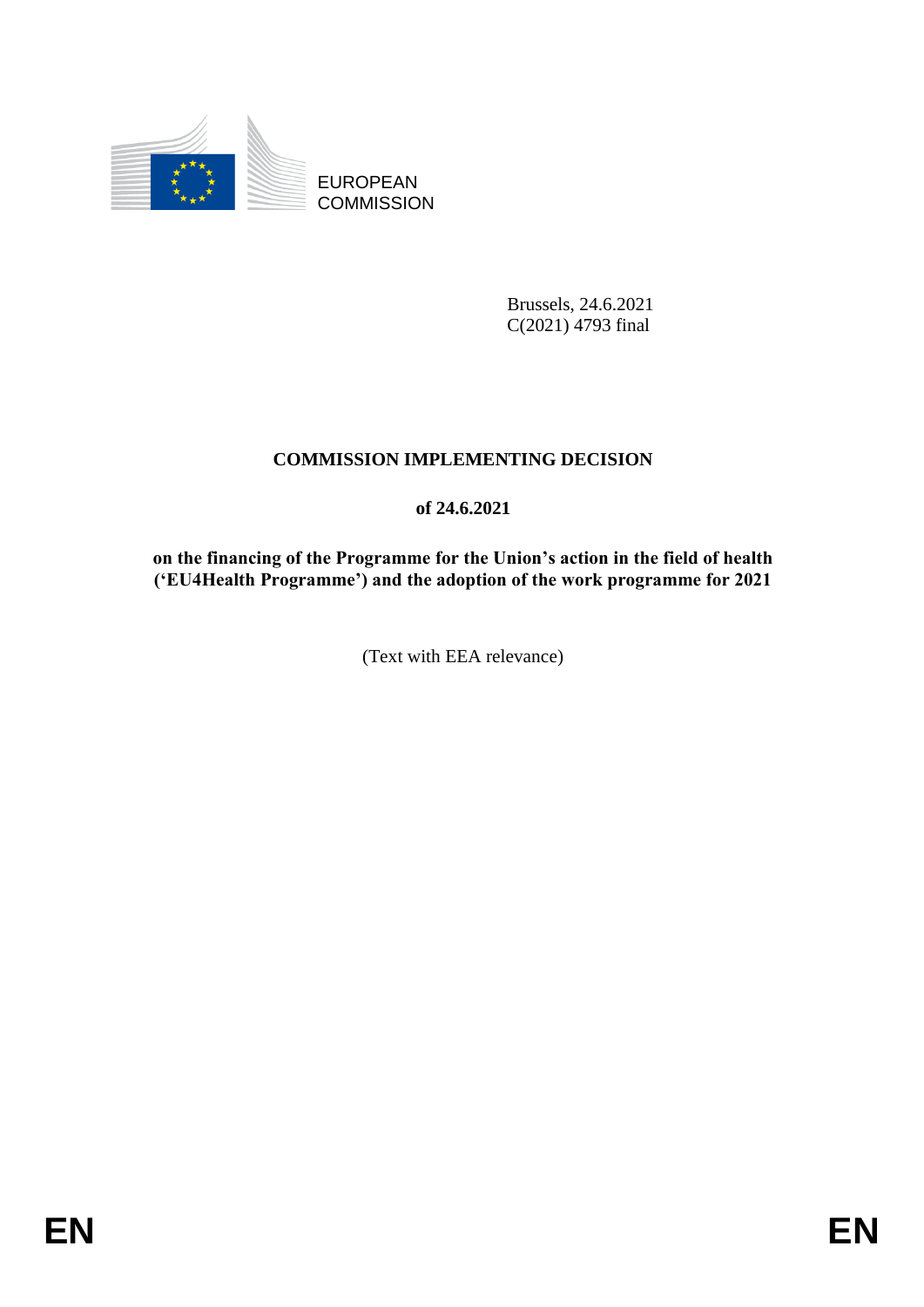

EUROPEAN **COMMISSION** 

> Brussels, 24.6.2021 C(2021) 4793 final

# **COMMISSION IMPLEMENTING DECISION**

## **of 24.6.2021**

**on the financing of the Programme for the Union's action in the field of health ('EU4Health Programme') and the adoption of the work programme for 2021**

(Text with EEA relevance)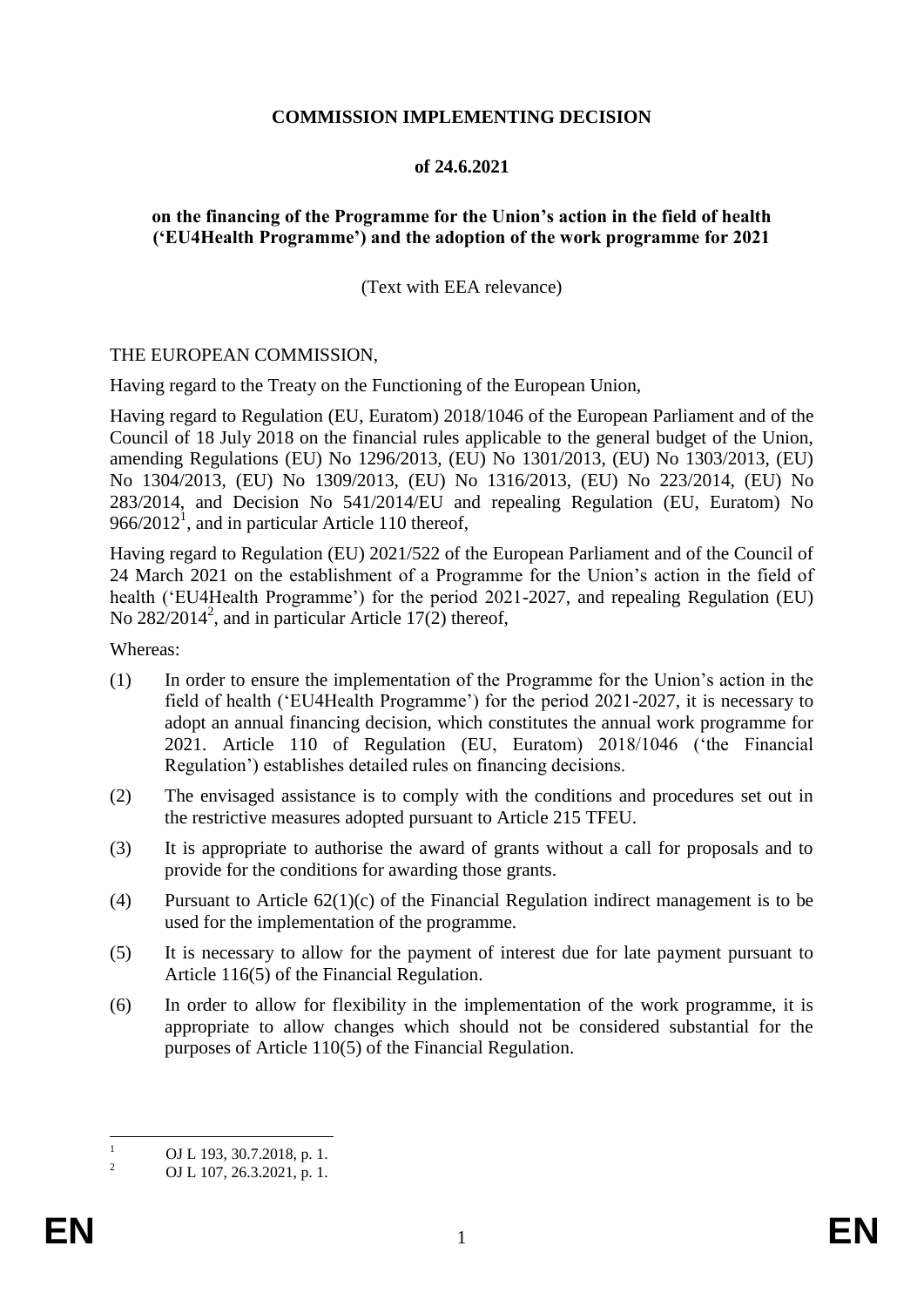## **COMMISSION IMPLEMENTING DECISION**

## **of 24.6.2021**

## **on the financing of the Programme for the Union's action in the field of health ('EU4Health Programme') and the adoption of the work programme for 2021**

(Text with EEA relevance)

#### THE EUROPEAN COMMISSION,

Having regard to the Treaty on the Functioning of the European Union,

Having regard to Regulation (EU, Euratom) 2018/1046 of the European Parliament and of the Council of 18 July 2018 on the financial rules applicable to the general budget of the Union, amending Regulations (EU) No 1296/2013, (EU) No 1301/2013, (EU) No 1303/2013, (EU) No 1304/2013, (EU) No 1309/2013, (EU) No 1316/2013, (EU) No 223/2014, (EU) No 283/2014, and Decision No 541/2014/EU and repealing Regulation (EU, Euratom) No  $966/2012<sup>1</sup>$ , and in particular Article 110 thereof,

Having regard to Regulation (EU) 2021/522 of the European Parliament and of the Council of 24 March 2021 on the establishment of a Programme for the Union's action in the field of health ('EU4Health Programme') for the period 2021-2027, and repealing Regulation (EU) No  $282/2014^2$ , and in particular Article 17(2) thereof,

Whereas:

- (1) In order to ensure the implementation of the Programme for the Union's action in the field of health ('EU4Health Programme') for the period 2021-2027, it is necessary to adopt an annual financing decision, which constitutes the annual work programme for 2021. Article 110 of Regulation (EU, Euratom) 2018/1046 ('the Financial Regulation') establishes detailed rules on financing decisions.
- (2) The envisaged assistance is to comply with the conditions and procedures set out in the restrictive measures adopted pursuant to Article 215 TFEU.
- (3) It is appropriate to authorise the award of grants without a call for proposals and to provide for the conditions for awarding those grants.
- (4) Pursuant to Article 62(1)(c) of the Financial Regulation indirect management is to be used for the implementation of the programme.
- (5) It is necessary to allow for the payment of interest due for late payment pursuant to Article 116(5) of the Financial Regulation.
- (6) In order to allow for flexibility in the implementation of the work programme, it is appropriate to allow changes which should not be considered substantial for the purposes of Article 110(5) of the Financial Regulation.

 $\mathbf{1}$  $\frac{1}{2}$  OJ L 193, 30.7.2018, p. 1.

<sup>2</sup> OJ L 107, 26.3.2021, p. 1.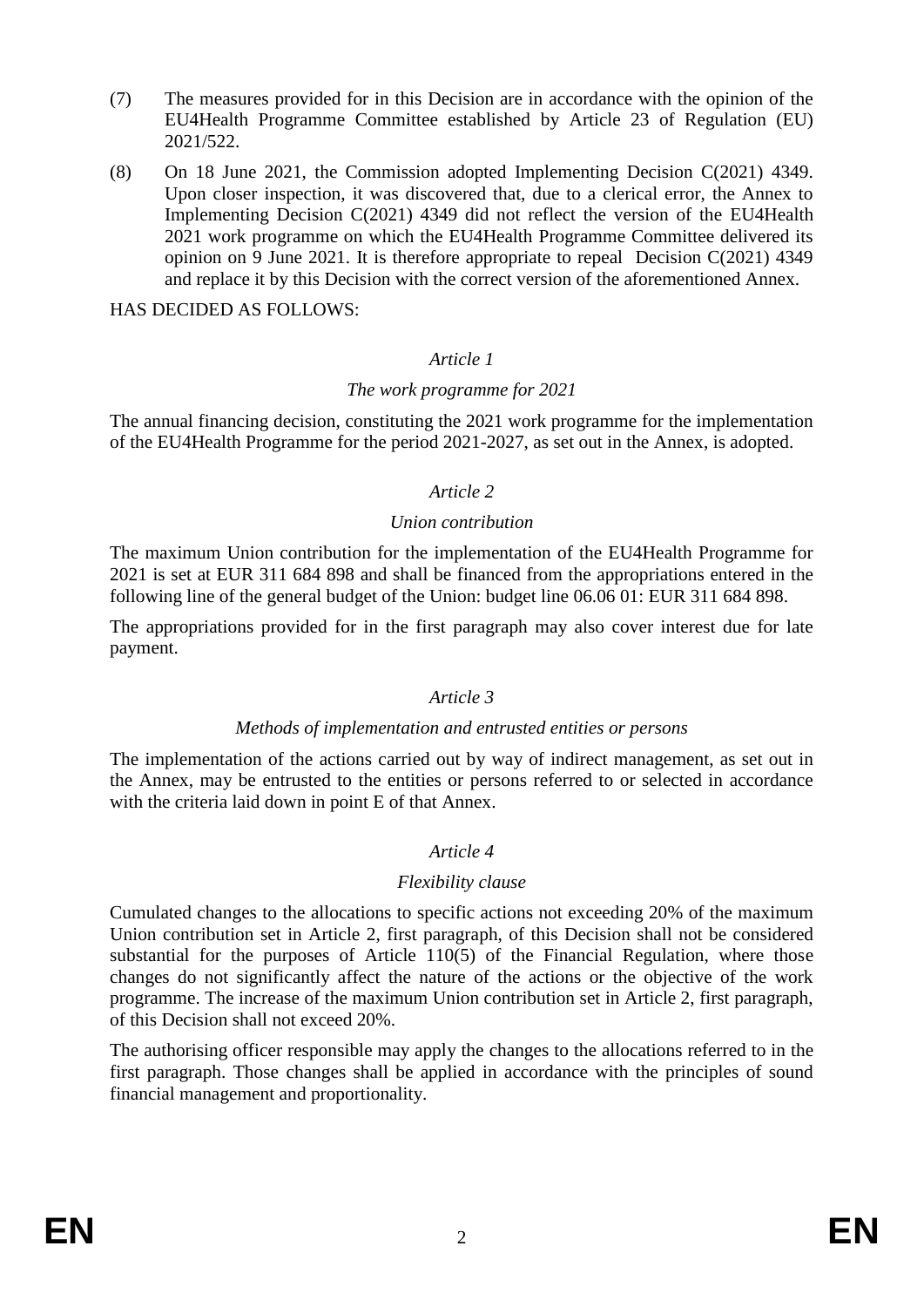- (7) The measures provided for in this Decision are in accordance with the opinion of the EU4Health Programme Committee established by Article 23 of Regulation (EU) 2021/522.
- (8) On 18 June 2021, the Commission adopted Implementing Decision C(2021) 4349. Upon closer inspection, it was discovered that, due to a clerical error, the Annex to Implementing Decision C(2021) 4349 did not reflect the version of the EU4Health 2021 work programme on which the EU4Health Programme Committee delivered its opinion on 9 June 2021. It is therefore appropriate to repeal Decision C(2021) 4349 and replace it by this Decision with the correct version of the aforementioned Annex.

HAS DECIDED AS FOLLOWS:

## *Article 1*

#### *The work programme for 2021*

The annual financing decision, constituting the 2021 work programme for the implementation of the EU4Health Programme for the period 2021-2027, as set out in the Annex, is adopted.

#### *Article 2*

#### *Union contribution*

The maximum Union contribution for the implementation of the EU4Health Programme for 2021 is set at EUR 311 684 898 and shall be financed from the appropriations entered in the following line of the general budget of the Union: budget line 06.06 01: EUR 311 684 898.

The appropriations provided for in the first paragraph may also cover interest due for late payment.

## *Article 3*

#### *Methods of implementation and entrusted entities or persons*

The implementation of the actions carried out by way of indirect management, as set out in the Annex, may be entrusted to the entities or persons referred to or selected in accordance with the criteria laid down in point E of that Annex.

## *Article 4*

## *Flexibility clause*

Cumulated changes to the allocations to specific actions not exceeding 20% of the maximum Union contribution set in Article 2, first paragraph, of this Decision shall not be considered substantial for the purposes of Article 110(5) of the Financial Regulation, where those changes do not significantly affect the nature of the actions or the objective of the work programme. The increase of the maximum Union contribution set in Article 2, first paragraph, of this Decision shall not exceed 20%.

The authorising officer responsible may apply the changes to the allocations referred to in the first paragraph. Those changes shall be applied in accordance with the principles of sound financial management and proportionality.